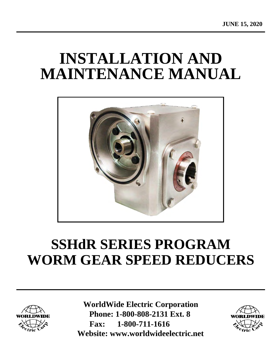# **INSTALLATION AND MAINTENANCE MANUAL**



# **SSHdR SERIES PROGRAM WORM GEAR SPEED REDUCERS**



**WorldWide Electric Corporation Phone: 1-800-808-2131 Ext. 8 Fax: 1-800-711-1616 [Website: www.worldwideelectric.net](http://www.worldwideelectric.net/)**

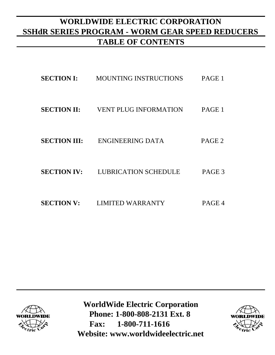## **WORLDWIDE ELECTRIC CORPORATION SSHdR SERIES PROGRAM - WORM GEAR SPEED REDUCERS TABLE OF CONTENTS**

| <b>SECTION I:</b>   | <b>MOUNTING INSTRUCTIONS</b> | PAGE 1            |
|---------------------|------------------------------|-------------------|
| <b>SECTION II:</b>  | <b>VENT PLUG INFORMATION</b> | PAGE 1            |
| <b>SECTION III:</b> | ENGINEERING DATA             | PAGE <sub>2</sub> |
| <b>SECTION IV:</b>  | <b>LUBRICATION SCHEDULE</b>  | PAGE 3            |
| <b>SECTION V:</b>   | <b>LIMITED WARRANTY</b>      | PAGE 4            |



**WorldWide Electric Corporation Phone: 1-800-808-2131 Ext. 8 Fax: 1-800-711-1616 [Website: www.worldwideelectric.net](http://www.worldwideelectric.net/)**

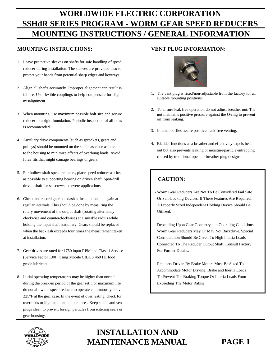## **WORLDWIDE ELECTRIC CORPORATION SSHdR SERIES PROGRAM - WORM GEAR SPEED REDUCERS MOUNTING INSTRUCTIONS / GENERAL INFORMATION**

#### **MOUNTING INSTRUCTIONS: VENT PLUG INFORMATION:**

- 1. Leave protective sleeves on shafts for safe handling of speed reducer during installation. The sleeves are provided also to protect your hands from potential sharp edges and keyways.
- 2. Align all shafts accurately. Improper alignment can result in failure. Use flexible couplings to help compensate for slight misalignment.
- 3. When mounting, use maximum possible bolt size and secure reducer to a rigid foundation. Periodic inspection of all bolts is recommended.
- 4. Auxiliary drive components (such as sprockets, gears and pulleys) should be mounted on the shafts as close as possible to the housing to minimize effects of overhung loads. Avoid force fits that might damage bearings or gears.
- 5. For hollow-shaft speed reducers, place speed reducer as close as possible to supporting bearing on driven shaft. Spot-drill driven shaft for setscrews in severe applications.
- 6. Check and record gear backlash at installation and again at regular intervals. This should be done by measuring the rotary movement of the output shaft (rotating alternately clockwise and counterclockwise) at a suitable radius while holding the input shaft stationary. Gears should be replaced when the backlash exceeds four times the measurement taken at installation.
- 7. Gear drives are rated for 1750 input RPM and Class 1 Service (Service Factor 1.00), using Mobile CIBUS 460 H1 food grade lubricant.
- 8. Initial operating temperatures may be higher than normal during the break-in period of the gear set. For maximum life do not allow the speed reducer to operate continuously above 225°F at the gear case. In the event of overheating, check for overloads or high ambient temperatures. Keep shafts and vent plugs clean to prevent foreign particles from entering seals or gear housings.



- 1. The vent plug is fixed/non-adjustable from the factory for all suitable mounting positions.
- 2. To ensure leak free operation do not adjust breather nut. The nut maintains positive pressure against the O-ring to prevent oil from leaking.
- 3. Internal baffles assure positive, leak-free venting.
- 4. Bladder functions as a breather and effectively expels heat out but also prevents leaking or moisture/particle entrapping caused by traditional open air breather plug designs.

### **CAUTION:**

- Worm Gear Reducers Are Not To Be Considered Fail Safe Or Self-Locking Devices. If These Features Are Required, A Properly Sized Independent Holding Device Should Be Utilized.
- Depending Upon Gear Geometry and Operating Conditions, Worm Gear Reducers May Or May Not Backdrive. Special Consideration Should Be Given To High Inertia Loads Connected To The Reducer Output Shaft. Consult Factory For Further Details.
- Reducers Driven By Brake Motors Must Be Sized To Accommodate Motor Driving, Brake and Inertia Loads To Prevent The Braking Torque Or Inertia Loads From Exceeding The Motor Rating.



## **INSTALLATION AND MAINTENANCE MANUAL PAGE 1**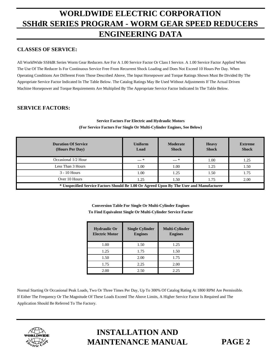## **WORLDWIDE ELECTRIC CORPORATION SSHdR SERIES PROGRAM - WORM GEAR SPEED REDUCERS ENGINEERING DATA**

### **CLASSES OF SERVICE:**

All WorldWide SSHdR Series Worm Gear Reducers Are For A 1.00 Service Factor Or Class I Service. A 1.00 Service Factor Applied When The Use Of The Reducer Is For Continuous Service Free From Recurrent Shock Loading and Does Not Exceed 10 Hours Per Day. When Operating Conditions Are Different From Those Described Above, The Input Horsepower and Torque Ratings Shown Must Be Divided By The Appropriate Service Factor Indicated In The Table Below. The Catalog Ratings May Be Used Without Adjustments If The Actual Driven Machine Horsepower and Torque Requirements Are Multiplied By The Appropriate Service Factor Indicated In The Table Below.

### **SERVICE FACTORS:**

#### **Service Factors For Electric and Hydraulic Motors (For Service Factors For Single Or Multi-Cylinder Engines, See Below)**

| <b>Duration Of Service</b><br>(Hours Per Day)                                            | <b>Uniform</b><br>Load | Moderate<br><b>Shock</b> | <b>Heavy</b><br><b>Shock</b> | <b>Extreme</b><br><b>Shock</b> |  |  |
|------------------------------------------------------------------------------------------|------------------------|--------------------------|------------------------------|--------------------------------|--|--|
| Occasional 1/2 Hour                                                                      | $--- *$                | $--- *$                  | 1.00                         | 1.25                           |  |  |
| Less Than 3 Hours                                                                        | 1.00                   | 1.00                     | 1.25                         | 1.50                           |  |  |
| $3 - 10$ Hours                                                                           | 1.00                   | 1.25                     | 1.50                         | 1.75                           |  |  |
| Over 10 Hours                                                                            | 1.25                   | 1.50                     | 1.75                         | 2.00                           |  |  |
| * Unspecified Service Factors Should Be 1.00 Or Agreed Upon By The User and Manufacturer |                        |                          |                              |                                |  |  |

**Conversion Table For Single Or Multi-Cylinder Engines To Find Equivalent Single Or Multi-Cylinder Service Factor**

| <b>Hydraulic Or</b><br><b>Electric Motor</b> | <b>Single Cylinder</b><br><b>Engines</b> | <b>Multi-Cylinder</b><br><b>Engines</b> |
|----------------------------------------------|------------------------------------------|-----------------------------------------|
| 1.00                                         | 1.50                                     | 1.25                                    |
| 1.25                                         | 1.75                                     | 1.50                                    |
| 1.50                                         | 2.00                                     | 1.75                                    |
| 1.75                                         | 2.25                                     | 2.00                                    |
| 2.00                                         | 2.50                                     | 2.25                                    |

Normal Starting Or Occasional Peak Loads, Two Or Three Times Per Day, Up To 300% Of Catalog Rating At 1800 RPM Are Permissible. If Either The Frequency Or The Magnitude Of These Loads Exceed The Above Limits, A Higher Service Factor Is Required and The Application Should Be Referred To The Factory.



## **INSTALLATION AND MAINTENANCE MANUAL PAGE 2**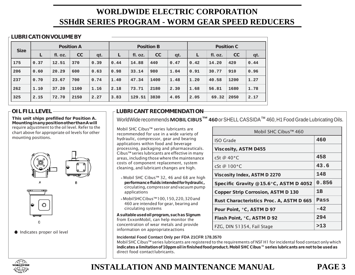## **WORLDWIDE ELECTRIC CORPORATION SSHdR SERIES PROGRAM - WORM GEAR SPEED REDUCERS**

#### **LUBRICATIONVOLUMEBY**

| <b>Size</b> | <b>Position A</b> |         |      | <b>Position B</b> |      |         | <b>Position C</b> |      |      |         |      |      |
|-------------|-------------------|---------|------|-------------------|------|---------|-------------------|------|------|---------|------|------|
|             |                   | fl. oz. | cc   | qt.               |      | fl. oz. | cc                | qt.  | L    | fl. oz. | cc   | qt.  |
| 175         | 0.37              | 12.51   | 370  | 0.39              | 0.44 | 14.88   | 440               | 0.47 | 0.42 | 14.20   | 420  | 0.44 |
| 206         | 0.60              | 20.29   | 600  | 0.63              | 0.98 | 33.14   | 980               | 1.04 | 0.91 | 30.77   | 910  | 0.96 |
| 237         | 0.70              | 23.67   | 700  | 0.74              | 1.40 | 47.34   | 1400              | 1.48 | 1.20 | 40.58   | 1200 | 1.27 |
| 262         | 1.10              | 37.20   | 1100 | 1.16              | 2.18 | 73.71   | 2180              | 2.30 | 1.68 | 56.81   | 1680 | 1.78 |
| 325         | 2.15              | 72.70   | 2150 | 2.27              | 3.83 | 129.51  | 3830              | 4.05 | 2.05 | 69.32   | 2050 | 2.17 |

This unit ships prefilled for Position A. Mounting in any position other than A will require adjustment to the oil level. Refer to the chart above for appropriate oil levels for other mounting positions.



### **OIL FILL LEVEL LUBRICANT RECOMMENDATION**

WorldWide recommends**MOBIL CIBUS™ 460**orSHELLCASSIDA™ 460,H1 FoodGrade LubricatingOils.

Mobil SHC Cibus™ series lubricants are recommended for use in a wide variety of hydraulic, compressor, gear and bearing applications within food and beverage processing, packaging and pharmaceuticals. Cibus™ series lubricants are effective in many areas, including those where the maintenance costs of component replacement, system cleaning, and lubricant changes are high.

- » Mobil SHC Cibus™ 32, 46 and 68 are high performancefluidsintended for hydraulic, circulating, compressor andvacuumpump applications
- » MobilSHCCibus™100,150,220,320and 460 are intended for gear, bearing and circulating systems

A suitable used oil program, such as Signum from ExxonMobil, can help monitor the concentration of wear metals and provide information on appropriateactions

| Mobil SHC Cibus™ 460                      |       |  |  |  |  |
|-------------------------------------------|-------|--|--|--|--|
| ISO Grade                                 | 460   |  |  |  |  |
| <b>Viscosity, ASTM D455</b>               |       |  |  |  |  |
| cSt @ 40°C                                | 458   |  |  |  |  |
| cSt @ 100°C                               | 43.6  |  |  |  |  |
| <b>Viscosity Index, ASTM D 2270</b>       | 148   |  |  |  |  |
| Specific Gravity @ 15.6°C, ASTM D 4052    | 0.856 |  |  |  |  |
| <b>Copper Strip Corrosion, ASTM D 130</b> | 1B    |  |  |  |  |
| Rust Characteristics Proc. A, ASTM D 665  | Pass  |  |  |  |  |
| Pour Point, °C, ASTM D 97                 | $-42$ |  |  |  |  |
| <b>Flash Point, °C, ASTM D 92</b>         | 294   |  |  |  |  |
| FZG, DIN 51354, Fail Stage                | >13   |  |  |  |  |

#### **Incidental Food Contact Only per FDA 21CFR 178.3570**

Mobil SHC Cibus™ series lubricants are registered to the requirements of NSF H1 for incidental food contact only which indicates a limitation of 10ppm oil in finished food product. Mobil SHC Cibus™ series lubricants are not to be used as direct food contact lubricants.



## **INSTALLATION AND MAINTENANCE MANUAL PAGE 3**